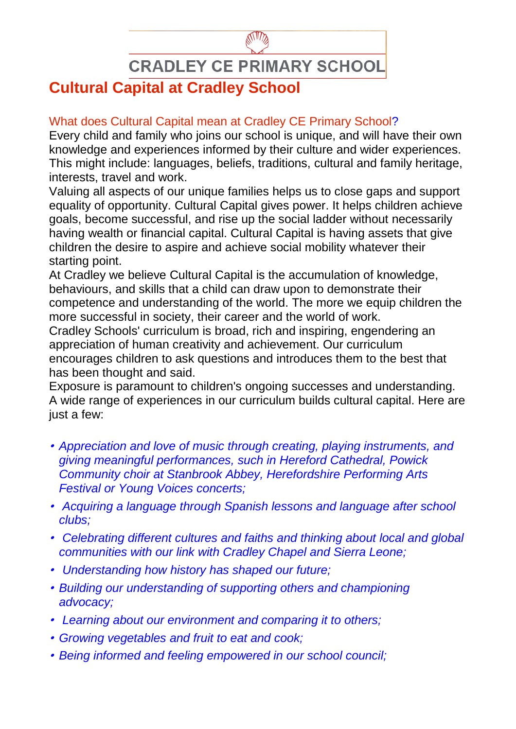**CRADLEY CE PRIMARY SCHOOL** 

## **Cultural Capital at Cradley School**

## What does Cultural Capital mean at Cradley CE Primary School?

Every child and family who joins our school is unique, and will have their own knowledge and experiences informed by their culture and wider experiences. This might include: languages, beliefs, traditions, cultural and family heritage, interests, travel and work.

Valuing all aspects of our unique families helps us to close gaps and support equality of opportunity. Cultural Capital gives power. It helps children achieve goals, become successful, and rise up the social ladder without necessarily having wealth or financial capital. Cultural Capital is having assets that give children the desire to aspire and achieve social mobility whatever their starting point.

At Cradley we believe Cultural Capital is the accumulation of knowledge, behaviours, and skills that a child can draw upon to demonstrate their competence and understanding of the world. The more we equip children the more successful in society, their career and the world of work.

Cradley Schools' curriculum is broad, rich and inspiring, engendering an appreciation of human creativity and achievement. Our curriculum encourages children to ask questions and introduces them to the best that has been thought and said.

Exposure is paramount to children's ongoing successes and understanding. A wide range of experiences in our curriculum builds cultural capital. Here are just a few:

- *Appreciation and love of music through creating, playing instruments, and giving meaningful performances, such in Hereford Cathedral, Powick Community choir at Stanbrook Abbey, Herefordshire Performing Arts Festival or Young Voices concerts;*
- *Acquiring a language through Spanish lessons and language after school clubs;*
- *Celebrating different cultures and faiths and thinking about local and global communities with our link with Cradley Chapel and Sierra Leone;*
- *Understanding how history has shaped our future;*
- *Building our understanding of supporting others and championing advocacy;*
- *Learning about our environment and comparing it to others;*
- *Growing vegetables and fruit to eat and cook;*
- *Being informed and feeling empowered in our school council;*